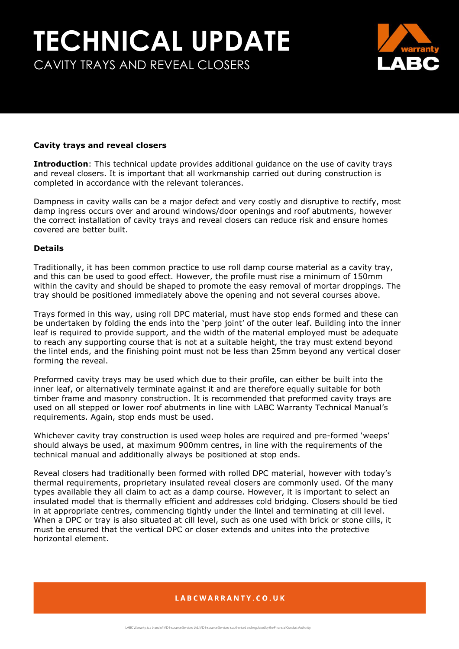# **TECHNICAL UPDATE** CAVITY TRAYS AND REVEAL CLOSERS



#### **Cavity trays and reveal closers**

**Introduction**: This technical update provides additional guidance on the use of cavity trays and reveal closers. It is important that all workmanship carried out during construction is completed in accordance with the relevant tolerances.

Dampness in cavity walls can be a major defect and very costly and disruptive to rectify, most damp ingress occurs over and around windows/door openings and roof abutments, however the correct installation of cavity trays and reveal closers can reduce risk and ensure homes covered are better built.

#### **Details**

Traditionally, it has been common practice to use roll damp course material as a cavity tray, and this can be used to good effect. However, the profile must rise a minimum of 150mm within the cavity and should be shaped to promote the easy removal of mortar droppings. The tray should be positioned immediately above the opening and not several courses above.

Trays formed in this way, using roll DPC material, must have stop ends formed and these can be undertaken by folding the ends into the 'perp joint' of the outer leaf. Building into the inner leaf is required to provide support, and the width of the material employed must be adequate to reach any supporting course that is not at a suitable height, the tray must extend beyond the lintel ends, and the finishing point must not be less than 25mm beyond any vertical closer forming the reveal.

Preformed cavity trays may be used which due to their profile, can either be built into the inner leaf, or alternatively terminate against it and are therefore equally suitable for both timber frame and masonry construction. It is recommended that preformed cavity trays are used on all stepped or lower roof abutments in line with LABC Warranty Technical Manual's requirements. Again, stop ends must be used.

Whichever cavity tray construction is used weep holes are required and pre-formed 'weeps' should always be used, at maximum 900mm centres, in line with the requirements of the technical manual and additionally always be positioned at stop ends.

Reveal closers had traditionally been formed with rolled DPC material, however with today's thermal requirements, proprietary insulated reveal closers are commonly used. Of the many types available they all claim to act as a damp course. However, it is important to select an insulated model that is thermally efficient and addresses cold bridging. Closers should be tied in at appropriate centres, commencing tightly under the lintel and terminating at cill level. When a DPC or tray is also situated at cill level, such as one used with brick or stone cills, it must be ensured that the vertical DPC or closer extends and unites into the protective horizontal element.

## LABCWARRANTY.CO.UK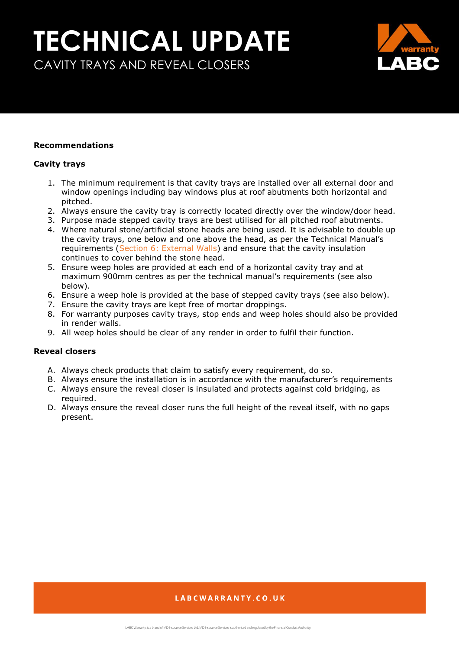## **TECHNICAL UPDATE** CAVITY TRAYS AND REVEAL CLOSERS



#### **Recommendations**

#### **Cavity trays**

- 1. The minimum requirement is that cavity trays are installed over all external door and window openings including bay windows plus at roof abutments both horizontal and pitched.
- 2. Always ensure the cavity tray is correctly located directly over the window/door head.
- 3. Purpose made stepped cavity trays are best utilised for all pitched roof abutments.
- 4. Where natural stone/artificial stone heads are being used. It is advisable to double up the cavity trays, one below and one above the head, as per the Technical Manual's requirements [\(Section 6: External Walls\)](https://info.labcwarranty.co.uk/technical-manual-s6) and ensure that the cavity insulation continues to cover behind the stone head.
- 5. Ensure weep holes are provided at each end of a horizontal cavity tray and at maximum 900mm centres as per the technical manual's requirements (see also below).
- 6. Ensure a weep hole is provided at the base of stepped cavity trays (see also below).
- 7. Ensure the cavity trays are kept free of mortar droppings.
- 8. For warranty purposes cavity trays, stop ends and weep holes should also be provided in render walls.
- 9. All weep holes should be clear of any render in order to fulfil their function.

### **Reveal closers**

- A. Always check products that claim to satisfy every requirement, do so.
- B. Always ensure the installation is in accordance with the manufacturer's requirements
- C. Always ensure the reveal closer is insulated and protects against cold bridging, as required.
- D. Always ensure the reveal closer runs the full height of the reveal itself, with no gaps present.

## LABCWARRANTY.CO.UK